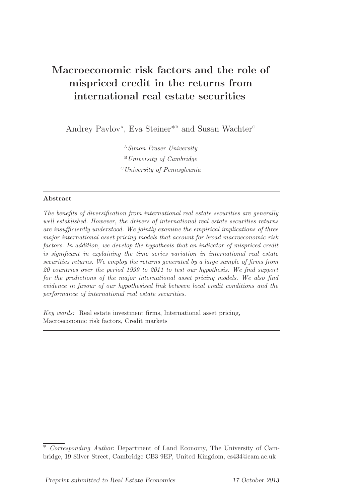# Macroeconomic risk factors and the role of mispriced credit in the returns from international real estate securities

Andrey Pavlov<sup>A</sup>, Eva Steiner<sup>\*B</sup> and Susan Wachter<sup>c</sup>

<sup>A</sup>*Simon Fraser University* <sup>B</sup>*University of Cambridge* <sup>C</sup>*University of Pennsylvania*

## Abstract

*The benefits of diversification from international real estate securities are generally well established. However, the drivers of international real estate securities returns are insufficiently understood. We jointly examine the empirical implications of three major international asset pricing models that account for broad macroeconomic risk factors. In addition, we develop the hypothesis that an indicator of mispriced credit is significant in explaining the time series variation in international real estate securities returns. We employ the returns generated by a large sample of firms from 20 countries over the period 1999 to 2011 to test our hypothesis. We find support for the predictions of the major international asset pricing models. We also find evidence in favour of our hypothesised link between local credit conditions and the performance of international real estate securities.*

*Key words:* Real estate investment firms, International asset pricing, Macroeconomic risk factors, Credit markets

*Corresponding Author:* Department of Land Economy, The University of Cambridge, 19 Silver Street, Cambridge CB3 9EP, United Kingdom, es434@cam.ac.uk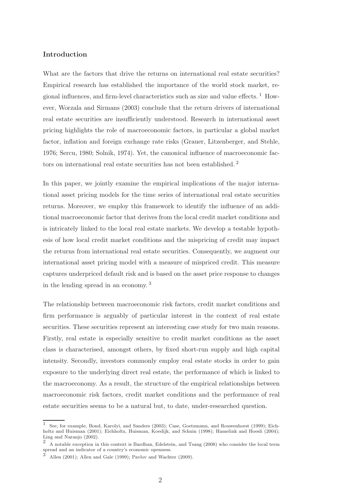#### Introduction

What are the factors that drive the returns on international real estate securities? Empirical research has established the importance of the world stock market, regional influences, and firm-level characteristics such as size and value effects.<sup>1</sup> However, Worzala and Sirmans (2003) conclude that the return drivers of international real estate securities are insufficiently understood. Research in international asset pricing highlights the role of macroeconomic factors, in particular a global market factor, inflation and foreign exchange rate risks (Grauer, Litzenberger, and Stehle, 1976; Sercu, 1980; Solnik, 1974). Yet, the canonical influence of macroeconomic factors on international real estate securities has not been established.<sup>2</sup>

In this paper, we jointly examine the empirical implications of the major international asset pricing models for the time series of international real estate securities returns. Moreover, we employ this framework to identify the influence of an additional macroeconomic factor that derives from the local credit market conditions and is intricately linked to the local real estate markets. We develop a testable hypothesis of how local credit market conditions and the mispricing of credit may impact the returns from international real estate securities. Consequently, we augment our international asset pricing model with a measure of mispriced credit. This measure captures underpriced default risk and is based on the asset price response to changes in the lending spread in an economy. <sup>3</sup>

The relationship between macroeconomic risk factors, credit market conditions and firm performance is arguably of particular interest in the context of real estate securities. These securities represent an interesting case study for two main reasons. Firstly, real estate is especially sensitive to credit market conditions as the asset class is characterised, amongst others, by fixed short-run supply and high capital intensity. Secondly, investors commonly employ real estate stocks in order to gain exposure to the underlying direct real estate, the performance of which is linked to the macroeconomy. As a result, the structure of the empirical relationships between macroeconomic risk factors, credit market conditions and the performance of real estate securities seems to be a natural but, to date, under-researched question.

<sup>1</sup> See, for example, Bond, Karolyi, and Sanders (2003); Case, Goetzmann, and Rouwenhorst (1999); Eichholtz and Huisman (2001); Eichholtz, Huisman, Koedijk, and Schuin (1998); Hamelink and Hoesli (2004); Ling and Naranjo (2002).

<sup>2</sup> A notable exception in this context is Bardhan, Edelstein, and Tsang (2008) who consider the local term spread and an indicator of a country's economic openness.

 $3^{3}$  Allen (2001); Allen and Gale (1999); Pavlov and Wachter (2009).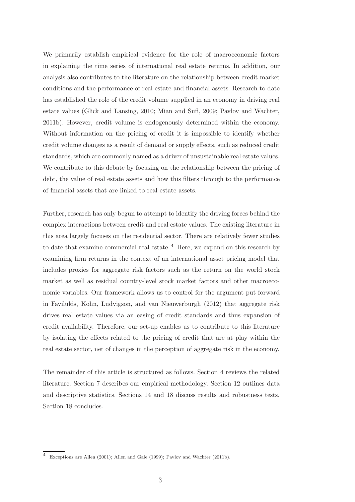We primarily establish empirical evidence for the role of macroeconomic factors in explaining the time series of international real estate returns. In addition, our analysis also contributes to the literature on the relationship between credit market conditions and the performance of real estate and financial assets. Research to date has established the role of the credit volume supplied in an economy in driving real estate values (Glick and Lansing, 2010; Mian and Sufi, 2009; Pavlov and Wachter, 2011b). However, credit volume is endogenously determined within the economy. Without information on the pricing of credit it is impossible to identify whether credit volume changes as a result of demand or supply effects, such as reduced credit standards, which are commonly named as a driver of unsustainable real estate values. We contribute to this debate by focusing on the relationship between the pricing of debt, the value of real estate assets and how this filters through to the performance of financial assets that are linked to real estate assets.

Further, research has only begun to attempt to identify the driving forces behind the complex interactions between credit and real estate values. The existing literature in this area largely focuses on the residential sector. There are relatively fewer studies to date that examine commercial real estate. <sup>4</sup> Here, we expand on this research by examining firm returns in the context of an international asset pricing model that includes proxies for aggregate risk factors such as the return on the world stock market as well as residual country-level stock market factors and other macroeconomic variables. Our framework allows us to control for the argument put forward in Favilukis, Kohn, Ludvigson, and van Nieuwerburgh (2012) that aggregate risk drives real estate values via an easing of credit standards and thus expansion of credit availability. Therefore, our set-up enables us to contribute to this literature by isolating the effects related to the pricing of credit that are at play within the real estate sector, net of changes in the perception of aggregate risk in the economy.

The remainder of this article is structured as follows. Section 4 reviews the related literature. Section 7 describes our empirical methodology. Section 12 outlines data and descriptive statistics. Sections 14 and 18 discuss results and robustness tests. Section 18 concludes.

Exceptions are Allen (2001); Allen and Gale (1999); Pavlov and Wachter (2011b).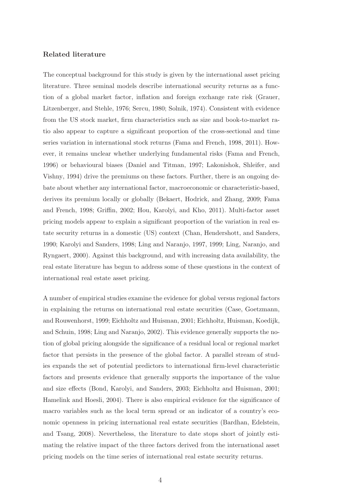## Related literature

The conceptual background for this study is given by the international asset pricing literature. Three seminal models describe international security returns as a function of a global market factor, inflation and foreign exchange rate risk (Grauer, Litzenberger, and Stehle, 1976; Sercu, 1980; Solnik, 1974). Consistent with evidence from the US stock market, firm characteristics such as size and book-to-market ratio also appear to capture a significant proportion of the cross-sectional and time series variation in international stock returns (Fama and French, 1998, 2011). However, it remains unclear whether underlying fundamental risks (Fama and French, 1996) or behavioural biases (Daniel and Titman, 1997; Lakonishok, Shleifer, and Vishny, 1994) drive the premiums on these factors. Further, there is an ongoing debate about whether any international factor, macroeconomic or characteristic-based, derives its premium locally or globally (Bekaert, Hodrick, and Zhang, 2009; Fama and French, 1998; Griffin, 2002; Hou, Karolyi, and Kho, 2011). Multi-factor asset pricing models appear to explain a significant proportion of the variation in real estate security returns in a domestic (US) context (Chan, Hendershott, and Sanders, 1990; Karolyi and Sanders, 1998; Ling and Naranjo, 1997, 1999; Ling, Naranjo, and Ryngaert, 2000). Against this background, and with increasing data availability, the real estate literature has begun to address some of these questions in the context of international real estate asset pricing.

A number of empirical studies examine the evidence for global versus regional factors in explaining the returns on international real estate securities (Case, Goetzmann, and Rouwenhorst, 1999; Eichholtz and Huisman, 2001; Eichholtz, Huisman, Koedijk, and Schuin, 1998; Ling and Naranjo, 2002). This evidence generally supports the notion of global pricing alongside the significance of a residual local or regional market factor that persists in the presence of the global factor. A parallel stream of studies expands the set of potential predictors to international firm-level characteristic factors and presents evidence that generally supports the importance of the value and size effects (Bond, Karolyi, and Sanders, 2003; Eichholtz and Huisman, 2001; Hamelink and Hoesli, 2004). There is also empirical evidence for the significance of macro variables such as the local term spread or an indicator of a country's economic openness in pricing international real estate securities (Bardhan, Edelstein, and Tsang, 2008). Nevertheless, the literature to date stops short of jointly estimating the relative impact of the three factors derived from the international asset pricing models on the time series of international real estate security returns.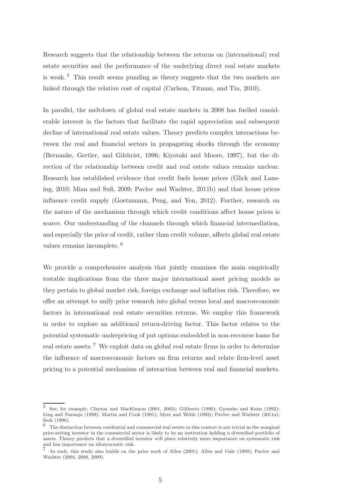Research suggests that the relationship between the returns on (international) real estate securities and the performance of the underlying direct real estate markets is weak. <sup>5</sup> This result seems puzzling as theory suggests that the two markets are linked through the relative cost of capital (Carlson, Titman, and Tiu, 2010).

In parallel, the meltdown of global real estate markets in 2008 has fuelled considerable interest in the factors that facilitate the rapid appreciation and subsequent decline of international real estate values. Theory predicts complex interactions between the real and financial sectors in propagating shocks through the economy (Bernanke, Gertler, and Gilchrist, 1996; Kiyotaki and Moore, 1997), but the direction of the relationship between credit and real estate values remains unclear. Research has established evidence that credit fuels house prices (Glick and Lansing, 2010; Mian and Sufi, 2009; Pavlov and Wachter, 2011b) and that house prices influence credit supply (Goetzmann, Peng, and Yen, 2012). Further, research on the nature of the mechanism through which credit conditions affect house prices is scarce. Our understanding of the channels through which financial intermediation, and especially the price of credit, rather than credit volume, affects global real estate values remains incomplete. <sup>6</sup>

We provide a comprehensive analysis that jointly examines the main empirically testable implications from the three major international asset pricing models as they pertain to global market risk, foreign exchange and inflation risk. Therefore, we offer an attempt to unify prior research into global versus local and macroeconomic factors in international real estate securities returns. We employ this framework in order to explore an additional return-driving factor. This factor relates to the potential systematic underpricing of put options embedded in non-recourse loans for real estate assets. <sup>7</sup> We exploit data on global real estate firms in order to determine the influence of macroeconomic factors on firm returns and relate firm-level asset pricing to a potential mechanism of interaction between real and financial markets.

<sup>5</sup> See, for example, Clayton and MacKinnon (2001, 2003); Giliberto (1990); Gyourko and Keim (1992); Ling and Naranjo (1999); Martin and Cook (1991); Myer and Webb (1993); Pavlov and Wachter (2011a); Seck (1996).

 $6$  The distinction between residential and commercial real estate in this context is not trivial as the marginal price-setting investor in the commercial sector is likely to be an institution holding a diversified portfolio of assets. Theory predicts that a diversified investor will place relatively more importance on systematic risk and less importance on idiosyncratic risk.

<sup>7</sup> As such, this study also builds on the prior work of Allen (2001); Allen and Gale (1999); Pavlov and Wachter (2004, 2006, 2009).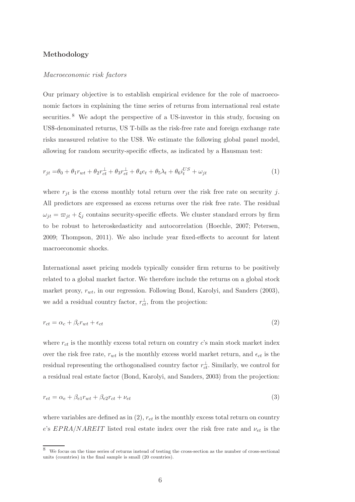#### Methodology

#### Macroeconomic risk factors

Our primary objective is to establish empirical evidence for the role of macroeconomic factors in explaining the time series of returns from international real estate securities.<sup>8</sup> We adopt the perspective of a US-investor in this study, focusing on US\$-denominated returns, US T-bills as the risk-free rate and foreign exchange rate risks measured relative to the US\$. We estimate the following global panel model, allowing for random security-specific effects, as indicated by a Hausman test:

$$
r_{jt} = \theta_0 + \theta_1 r_{wt} + \theta_2 r_{ct}^{\perp} + \theta_3 r_{et}^{\perp} + \theta_4 e_t + \theta_5 \lambda_t + \theta_6 i_t^{US} + \omega_{jt}
$$
\n<sup>(1)</sup>

where  $r_{jt}$  is the excess monthly total return over the risk free rate on security j. All predictors are expressed as excess returns over the risk free rate. The residual  $\omega_{jt} = \overline{\omega}_{jt} + \xi_j$  contains security-specific effects. We cluster standard errors by firm to be robust to heteroskedasticity and autocorrelation (Hoechle, 2007; Petersen, 2009; Thompson, 2011). We also include year fixed-effects to account for latent macroeconomic shocks.

International asset pricing models typically consider firm returns to be positively related to a global market factor. We therefore include the returns on a global stock market proxy,  $r_{wt}$ , in our regression. Following Bond, Karolyi, and Sanders (2003), we add a residual country factor,  $r_{ct}^{\perp}$ , from the projection:

$$
r_{ct} = \alpha_c + \beta_c r_{wt} + \epsilon_{ct} \tag{2}
$$

where  $r_{ct}$  is the monthly excess total return on country c's main stock market index over the risk free rate,  $r_{wt}$  is the monthly excess world market return, and  $\epsilon_{ct}$  is the residual representing the orthogonalised country factor  $r_{ct}^{\perp}$ . Similarly, we control for a residual real estate factor (Bond, Karolyi, and Sanders, 2003) from the projection:

$$
r_{et} = \alpha_e + \beta_{e1} r_{wt} + \beta_{e2} r_{ct} + \nu_{et} \tag{3}
$$

where variables are defined as in  $(2)$ ,  $r_{et}$  is the monthly excess total return on country e's  $EPRA/NAREIT$  listed real estate index over the risk free rate and  $\nu_{et}$  is the

<sup>8</sup> We focus on the time series of returns instead of testing the cross-section as the number of cross-sectional units (countries) in the final sample is small (20 countries).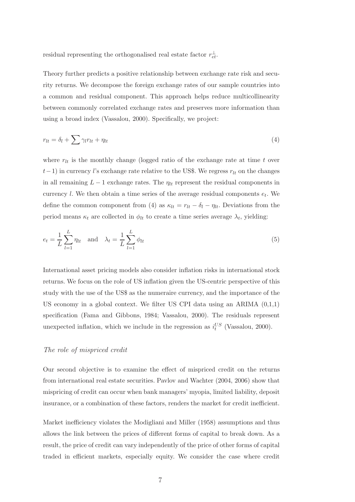residual representing the orthogonalised real estate factor  $r_{et}^{\perp}.$ 

Theory further predicts a positive relationship between exchange rate risk and security returns. We decompose the foreign exchange rates of our sample countries into a common and residual component. This approach helps reduce multicollinearity between commonly correlated exchange rates and preserves more information than using a broad index (Vassalou, 2000). Specifically, we project:

$$
r_{lt} = \delta_l + \sum \gamma_l r_{lt} + \eta_{lt} \tag{4}
$$

where  $r_{lt}$  is the monthly change (logged ratio of the exchange rate at time t over  $t-1$ ) in currency l's exchange rate relative to the US\$. We regress  $r_{lt}$  on the changes in all remaining  $L - 1$  exchange rates. The  $\eta_{lt}$  represent the residual components in currency  $l$ . We then obtain a time series of the average residual components  $e_t$ . We define the common component from (4) as  $\kappa_{lt} = r_{lt} - \delta_l - \eta_{lt}$ . Deviations from the period means  $\kappa_t$  are collected in  $\phi_{lt}$  to create a time series average  $\lambda_t$ , yielding:

$$
e_t = \frac{1}{L} \sum_{l=1}^{L} \eta_{lt} \quad \text{and} \quad \lambda_t = \frac{1}{L} \sum_{l=1}^{L} \phi_{lt}
$$
 (5)

International asset pricing models also consider inflation risks in international stock returns. We focus on the role of US inflation given the US-centric perspective of this study with the use of the US\$ as the numeraire currency, and the importance of the US economy in a global context. We filter US CPI data using an ARIMA  $(0,1,1)$ specification (Fama and Gibbons, 1984; Vassalou, 2000). The residuals represent unexpected inflation, which we include in the regression as  $i_t^{US}$  (Vassalou, 2000).

#### The role of mispriced credit

Our second objective is to examine the effect of mispriced credit on the returns from international real estate securities. Pavlov and Wachter (2004, 2006) show that mispricing of credit can occur when bank managers' myopia, limited liability, deposit insurance, or a combination of these factors, renders the market for credit inefficient.

Market inefficiency violates the Modigliani and Miller (1958) assumptions and thus allows the link between the prices of different forms of capital to break down. As a result, the price of credit can vary independently of the price of other forms of capital traded in efficient markets, especially equity. We consider the case where credit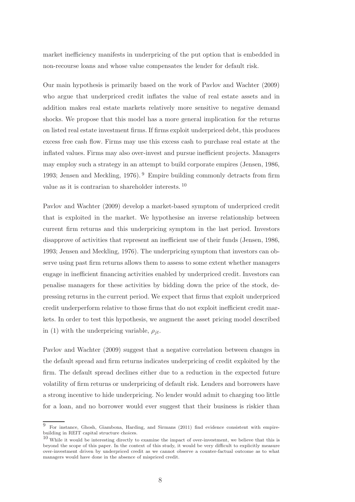market inefficiency manifests in underpricing of the put option that is embedded in non-recourse loans and whose value compensates the lender for default risk.

Our main hypothesis is primarily based on the work of Pavlov and Wachter (2009) who argue that underpriced credit inflates the value of real estate assets and in addition makes real estate markets relatively more sensitive to negative demand shocks. We propose that this model has a more general implication for the returns on listed real estate investment firms. If firms exploit underpriced debt, this produces excess free cash flow. Firms may use this excess cash to purchase real estate at the inflated values. Firms may also over-invest and pursue inefficient projects. Managers may employ such a strategy in an attempt to build corporate empires (Jensen, 1986, 1993; Jensen and Meckling, 1976). <sup>9</sup> Empire building commonly detracts from firm value as it is contrarian to shareholder interests. <sup>10</sup>

Pavlov and Wachter (2009) develop a market-based symptom of underpriced credit that is exploited in the market. We hypothesise an inverse relationship between current firm returns and this underpricing symptom in the last period. Investors disapprove of activities that represent an inefficient use of their funds (Jensen, 1986, 1993; Jensen and Meckling, 1976). The underpricing symptom that investors can observe using past firm returns allows them to assess to some extent whether managers engage in inefficient financing activities enabled by underpriced credit. Investors can penalise managers for these activities by bidding down the price of the stock, depressing returns in the current period. We expect that firms that exploit underpriced credit underperform relative to those firms that do not exploit inefficient credit markets. In order to test this hypothesis, we augment the asset pricing model described in (1) with the underpricing variable,  $\rho_{it}$ .

Pavlov and Wachter (2009) suggest that a negative correlation between changes in the default spread and firm returns indicates underpricing of credit exploited by the firm. The default spread declines either due to a reduction in the expected future volatility of firm returns or underpricing of default risk. Lenders and borrowers have a strong incentive to hide underpricing. No lender would admit to charging too little for a loan, and no borrower would ever suggest that their business is riskier than

<sup>9</sup> For instance, Ghosh, Giambona, Harding, and Sirmans (2011) find evidence consistent with empirebuilding in REIT capital structure choices.

 $10$  While it would be interesting directly to examine the impact of over-investment, we believe that this is beyond the scope of this paper. In the context of this study, it would be very difficult to explicitly measure over-investment driven by underpriced credit as we cannot observe a counter-factual outcome as to what managers would have done in the absence of mispriced credit.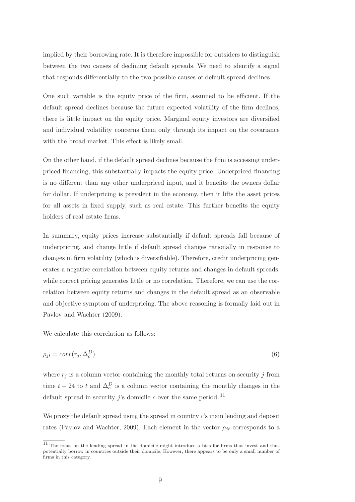implied by their borrowing rate. It is therefore impossible for outsiders to distinguish between the two causes of declining default spreads. We need to identify a signal that responds differentially to the two possible causes of default spread declines.

One such variable is the equity price of the firm, assumed to be efficient. If the default spread declines because the future expected volatility of the firm declines, there is little impact on the equity price. Marginal equity investors are diversified and individual volatility concerns them only through its impact on the covariance with the broad market. This effect is likely small.

On the other hand, if the default spread declines because the firm is accessing underpriced financing, this substantially impacts the equity price. Underpriced financing is no different than any other underpriced input, and it benefits the owners dollar for dollar. If underpricing is prevalent in the economy, then it lifts the asset prices for all assets in fixed supply, such as real estate. This further benefits the equity holders of real estate firms.

In summary, equity prices increase substantially if default spreads fall because of underpricing, and change little if default spread changes rationally in response to changes in firm volatility (which is diversifiable). Therefore, credit underpricing generates a negative correlation between equity returns and changes in default spreads, while correct pricing generates little or no correlation. Therefore, we can use the correlation between equity returns and changes in the default spread as an observable and objective symptom of underpricing. The above reasoning is formally laid out in Pavlov and Wachter (2009).

We calculate this correlation as follows:

$$
\rho_{jt} = corr(r_j, \Delta_c^D) \tag{6}
$$

where  $r_i$  is a column vector containing the monthly total returns on security j from time  $t - 24$  to t and  $\Delta_c^D$  is a column vector containing the monthly changes in the default spread in security j's domicile c over the same period.<sup>11</sup>

We proxy the default spread using the spread in country c's main lending and deposit rates (Pavlov and Wachter, 2009). Each element in the vector  $\rho_{it}$  corresponds to a

 $\frac{11}{11}$  The focus on the lending spread in the domicile might introduce a bias for firms that invest and thus potentially borrow in countries outside their domicile. However, there appears to be only a small number of firms in this category.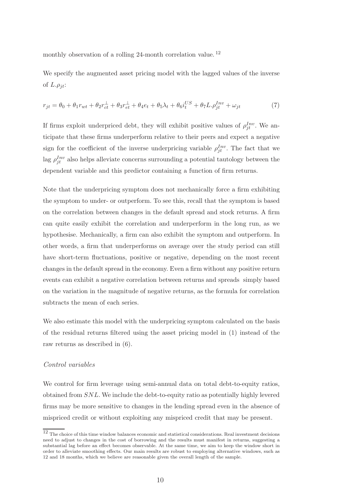monthly observation of a rolling 24-month correlation value.<sup>12</sup>

We specify the augmented asset pricing model with the lagged values of the inverse of  $L.\rho_{it}$ :

$$
r_{jt} = \theta_0 + \theta_1 r_{wt} + \theta_2 r_{ct}^{\perp} + \theta_3 r_{et}^{\perp} + \theta_4 e_t + \theta_5 \lambda_t + \theta_6 i_t^{US} + \theta_7 L \rho_{jt}^{Inv} + \omega_{jt}
$$
(7)

If firms exploit underpriced debt, they will exhibit positive values of  $\rho_{jt}^{Inv}$ . We anticipate that these firms underperform relative to their peers and expect a negative sign for the coefficient of the inverse underpricing variable  $\rho_{jt}^{Inv}$ . The fact that we lag  $\rho_{jt}^{Inv}$  also helps alleviate concerns surrounding a potential tautology between the dependent variable and this predictor containing a function of firm returns.

Note that the underpricing symptom does not mechanically force a firm exhibiting the symptom to under- or outperform. To see this, recall that the symptom is based on the correlation between changes in the default spread and stock returns. A firm can quite easily exhibit the correlation and underperform in the long run, as we hypothesise. Mechanically, a firm can also exhibit the symptom and outperform. In other words, a firm that underperforms on average over the study period can still have short-term fluctuations, positive or negative, depending on the most recent changes in the default spread in the economy. Even a firm without any positive return events can exhibit a negative correlation between returns and spreads simply based on the variation in the magnitude of negative returns, as the formula for correlation subtracts the mean of each series.

We also estimate this model with the underpricing symptom calculated on the basis of the residual returns filtered using the asset pricing model in (1) instead of the raw returns as described in (6).

## Control variables

We control for firm leverage using semi-annual data on total debt-to-equity ratios, obtained from SNL. We include the debt-to-equity ratio as potentially highly levered firms may be more sensitive to changes in the lending spread even in the absence of mispriced credit or without exploiting any mispriced credit that may be present.

 $\overline{12}$  The choice of this time window balances economic and statistical considerations. Real investment decisions need to adjust to changes in the cost of borrowing and the results must manifest in returns, suggesting a substantial lag before an effect becomes observable. At the same time, we aim to keep the window short in order to alleviate smoothing effects. Our main results are robust to employing alternative windows, such as 12 and 18 months, which we believe are reasonable given the overall length of the sample.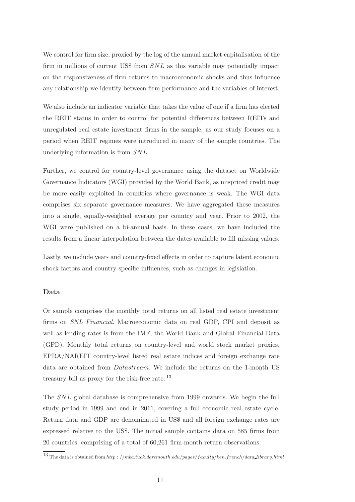We control for firm size, proxied by the log of the annual market capitalisation of the firm in millions of current US\$ from SNL as this variable may potentially impact on the responsiveness of firm returns to macroeconomic shocks and thus influence any relationship we identify between firm performance and the variables of interest.

We also include an indicator variable that takes the value of one if a firm has elected the REIT status in order to control for potential differences between REITs and unregulated real estate investment firms in the sample, as our study focuses on a period when REIT regimes were introduced in many of the sample countries. The underlying information is from SNL.

Further, we control for country-level governance using the dataset on Worldwide Governance Indicators (WGI) provided by the World Bank, as mispriced credit may be more easily exploited in countries where governance is weak. The WGI data comprises six separate governance measures. We have aggregated these measures into a single, equally-weighted average per country and year. Prior to 2002, the WGI were published on a bi-annual basis. In these cases, we have included the results from a linear interpolation between the dates available to fill missing values.

Lastly, we include year- and country-fixed effects in order to capture latent economic shock factors and country-specific influences, such as changes in legislation.

## Data

Or sample comprises the monthly total returns on all listed real estate investment firms on *SNL Financial*. Macroeconomic data on real GDP, CPI and deposit as well as lending rates is from the IMF, the World Bank and Global Financial Data (GFD). Monthly total returns on country-level and world stock market proxies, EPRA/NAREIT country-level listed real estate indices and foreign exchange rate data are obtained from Datastream. We include the returns on the 1-month US treasury bill as proxy for the risk-free rate. <sup>13</sup>

The SNL global database is comprehensive from 1999 onwards. We begin the full study period in 1999 and end in 2011, covering a full economic real estate cycle. Return data and GDP are denominated in US\$ and all foreign exchange rates are expressed relative to the US\$. The initial sample contains data on 585 firms from 20 countries, comprising of a total of 60,261 firm-month return observations.

 $^{13}$  The data is obtained from  $\hbar ttp$  : //mba.tuck.dartmouth.edu/pages/faculty/ken.french/data\_library.html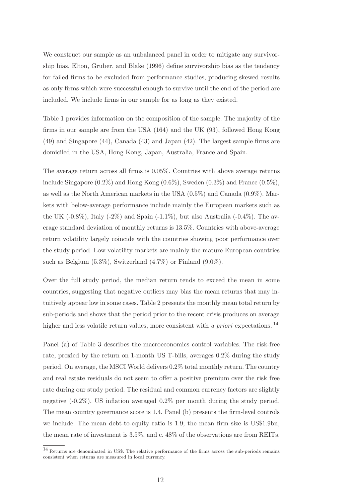We construct our sample as an unbalanced panel in order to mitigate any survivorship bias. Elton, Gruber, and Blake (1996) define survivorship bias as the tendency for failed firms to be excluded from performance studies, producing skewed results as only firms which were successful enough to survive until the end of the period are included. We include firms in our sample for as long as they existed.

Table 1 provides information on the composition of the sample. The majority of the firms in our sample are from the USA (164) and the UK (93), followed Hong Kong (49) and Singapore (44), Canada (43) and Japan (42). The largest sample firms are domiciled in the USA, Hong Kong, Japan, Australia, France and Spain.

The average return across all firms is 0.05%. Countries with above average returns include Singapore  $(0.2\%)$  and Hong Kong  $(0.6\%)$ , Sweden  $(0.3\%)$  and France  $(0.5\%)$ , as well as the North American markets in the USA (0.5%) and Canada (0.9%). Markets with below-average performance include mainly the European markets such as the UK  $(-0.8\%)$ , Italy  $(-2\%)$  and Spain  $(-1.1\%)$ , but also Australia  $(-0.4\%)$ . The average standard deviation of monthly returns is 13.5%. Countries with above-average return volatility largely coincide with the countries showing poor performance over the study period. Low-volatility markets are mainly the mature European countries such as Belgium (5.3%), Switzerland (4.7%) or Finland (9.0%).

Over the full study period, the median return tends to exceed the mean in some countries, suggesting that negative outliers may bias the mean returns that may intuitively appear low in some cases. Table 2 presents the monthly mean total return by sub-periods and shows that the period prior to the recent crisis produces on average higher and less volatile return values, more consistent with *a priori* expectations.<sup>14</sup>

Panel (a) of Table 3 describes the macroeconomics control variables. The risk-free rate, proxied by the return on 1-month US T-bills, averages 0.2% during the study period. On average, the MSCI World delivers 0.2% total monthly return. The country and real estate residuals do not seem to offer a positive premium over the risk free rate during our study period. The residual and common currency factors are slightly negative (-0.2%). US inflation averaged 0.2% per month during the study period. The mean country governance score is 1.4. Panel (b) presents the firm-level controls we include. The mean debt-to-equity ratio is 1.9; the mean firm size is US\$1.9bn, the mean rate of investment is 3.5%, and c. 48% of the observations are from REITs.

 $\overline{14}$  Returns are denominated in US\$. The relative performance of the firms across the sub-periods remains consistent when returns are measured in local currency.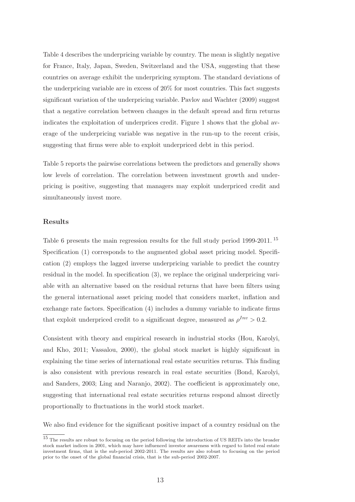Table 4 describes the underpricing variable by country. The mean is slightly negative for France, Italy, Japan, Sweden, Switzerland and the USA, suggesting that these countries on average exhibit the underpricing symptom. The standard deviations of the underpricing variable are in excess of 20% for most countries. This fact suggests significant variation of the underpricing variable. Pavlov and Wachter (2009) suggest that a negative correlation between changes in the default spread and firm returns indicates the exploitation of underprices credit. Figure 1 shows that the global average of the underpricing variable was negative in the run-up to the recent crisis, suggesting that firms were able to exploit underpriced debt in this period.

Table 5 reports the pairwise correlations between the predictors and generally shows low levels of correlation. The correlation between investment growth and underpricing is positive, suggesting that managers may exploit underpriced credit and simultaneously invest more.

## Results

Table 6 presents the main regression results for the full study period 1999-2011. <sup>15</sup> Specification (1) corresponds to the augmented global asset pricing model. Specification (2) employs the lagged inverse underpricing variable to predict the country residual in the model. In specification (3), we replace the original underpricing variable with an alternative based on the residual returns that have been filters using the general international asset pricing model that considers market, inflation and exchange rate factors. Specification (4) includes a dummy variable to indicate firms that exploit underpriced credit to a significant degree, measured as  $\rho^{Inv} > 0.2$ .

Consistent with theory and empirical research in industrial stocks (Hou, Karolyi, and Kho, 2011; Vassalou, 2000), the global stock market is highly significant in explaining the time series of international real estate securities returns. This finding is also consistent with previous research in real estate securities (Bond, Karolyi, and Sanders, 2003; Ling and Naranjo, 2002). The coefficient is approximately one, suggesting that international real estate securities returns respond almost directly proportionally to fluctuations in the world stock market.

We also find evidence for the significant positive impact of a country residual on the

<sup>15</sup> The results are robust to focusing on the period following the introduction of US REITs into the broader stock market indices in 2001, which may have influenced investor awareness with regard to listed real estate investment firms, that is the sub-period 2002-2011. The results are also robust to focusing on the period prior to the onset of the global financial crisis, that is the sub-period 2002-2007.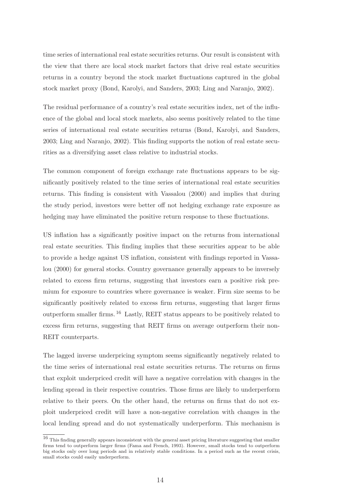time series of international real estate securities returns. Our result is consistent with the view that there are local stock market factors that drive real estate securities returns in a country beyond the stock market fluctuations captured in the global stock market proxy (Bond, Karolyi, and Sanders, 2003; Ling and Naranjo, 2002).

The residual performance of a country's real estate securities index, net of the influence of the global and local stock markets, also seems positively related to the time series of international real estate securities returns (Bond, Karolyi, and Sanders, 2003; Ling and Naranjo, 2002). This finding supports the notion of real estate securities as a diversifying asset class relative to industrial stocks.

The common component of foreign exchange rate fluctuations appears to be significantly positively related to the time series of international real estate securities returns. This finding is consistent with Vassalou (2000) and implies that during the study period, investors were better off not hedging exchange rate exposure as hedging may have eliminated the positive return response to these fluctuations.

US inflation has a significantly positive impact on the returns from international real estate securities. This finding implies that these securities appear to be able to provide a hedge against US inflation, consistent with findings reported in Vassalou (2000) for general stocks. Country governance generally appears to be inversely related to excess firm returns, suggesting that investors earn a positive risk premium for exposure to countries where governance is weaker. Firm size seems to be significantly positively related to excess firm returns, suggesting that larger firms outperform smaller firms. <sup>16</sup> Lastly, REIT status appears to be positively related to excess firm returns, suggesting that REIT firms on average outperform their non-REIT counterparts.

The lagged inverse underpricing symptom seems significantly negatively related to the time series of international real estate securities returns. The returns on firms that exploit underpriced credit will have a negative correlation with changes in the lending spread in their respective countries. Those firms are likely to underperform relative to their peers. On the other hand, the returns on firms that do not exploit underpriced credit will have a non-negative correlation with changes in the local lending spread and do not systematically underperform. This mechanism is

<sup>16</sup> This finding generally appears inconsistent with the general asset pricing literature suggesting that smaller firms tend to outperform larger firms (Fama and French, 1993). However, small stocks tend to outperform big stocks only over long periods and in relatively stable conditions. In a period such as the recent crisis, small stocks could easily underperform.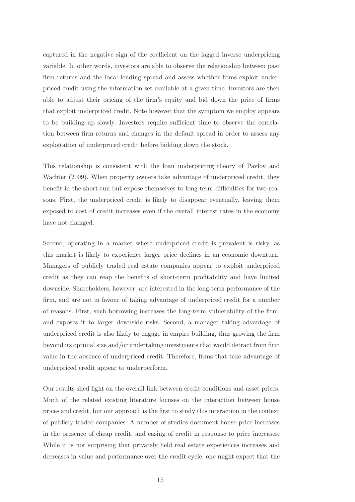captured in the negative sign of the coefficient on the lagged inverse underpricing variable. In other words, investors are able to observe the relationship between past firm returns and the local lending spread and assess whether firms exploit underpriced credit using the information set available at a given time. Investors are then able to adjust their pricing of the firm's equity and bid down the price of firms that exploit underpriced credit. Note however that the symptom we employ appears to be building up slowly. Investors require sufficient time to observe the correlation between firm returns and changes in the default spread in order to assess any exploitation of underpriced credit before bidding down the stock.

This relationship is consistent with the loan underpricing theory of Pavlov and Wachter (2009). When property owners take advantage of underpriced credit, they benefit in the short-run but expose themselves to long-term difficulties for two reasons. First, the underpriced credit is likely to disappear eventually, leaving them exposed to cost of credit increases even if the overall interest rates in the economy have not changed.

Second, operating in a market where underpriced credit is prevalent is risky, as this market is likely to experience larger price declines in an economic downturn. Managers of publicly traded real estate companies appear to exploit underpriced credit as they can reap the benefits of short-term profitability and have limited downside. Shareholders, however, are interested in the long-term performance of the firm, and are not in favour of taking advantage of underpriced credit for a number of reasons. First, such borrowing increases the long-term vulnerability of the firm, and exposes it to larger downside risks. Second, a manager taking advantage of underpriced credit is also likely to engage in empire building, thus growing the firm beyond its optimal size and/or undertaking investments that would detract from firm value in the absence of underpriced credit. Therefore, firms that take advantage of underpriced credit appear to underperform.

Our results shed light on the overall link between credit conditions and asset prices. Much of the related existing literature focuses on the interaction between house prices and credit, but our approach is the first to study this interaction in the context of publicly traded companies. A number of studies document house price increases in the presence of cheap credit, and easing of credit in response to price increases. While it is not surprising that privately held real estate experiences increases and decreases in value and performance over the credit cycle, one might expect that the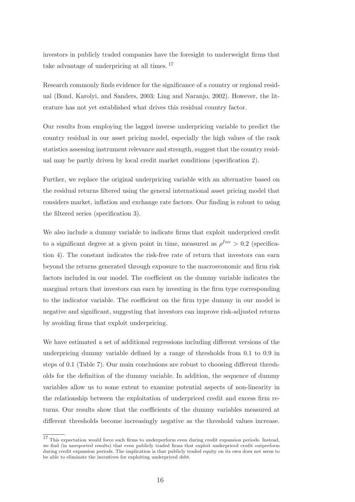investors in publicly traded companies have the foresight to underweight firms that take advantage of underpricing at all times. <sup>17</sup>

Research commonly finds evidence for the significance of a country or regional residual (Bond, Karolyi, and Sanders, 2003; Ling and Naranjo, 2002). However, the literature has not yet established what drives this residual country factor.

Our results from employing the lagged inverse underpricing variable to predict the country residual in our asset pricing model, especially the high values of the rank statistics assessing instrument relevance and strength, suggest that the country residual may be partly driven by local credit market conditions (specification 2).

Further, we replace the original underpricing variable with an alternative based on the residual returns filtered using the general international asset pricing model that considers market, inflation and exchange rate factors. Our finding is robust to using the filtered series (specification 3).

We also include a dummy variable to indicate firms that exploit underpriced credit to a significant degree at a given point in time, measured as  $\rho^{Inv} > 0.2$  (specification 4). The constant indicates the risk-free rate of return that investors can earn beyond the returns generated through exposure to the macroeconomic and firm risk factors included in our model. The coefficient on the dummy variable indicates the marginal return that investors can earn by investing in the firm type corresponding to the indicator variable. The coefficient on the firm type dummy in our model is negative and significant, suggesting that investors can improve risk-adjusted returns by avoiding firms that exploit underpricing.

We have estimated a set of additional regressions including different versions of the underpricing dummy variable defined by a range of thresholds from 0.1 to 0.9 in steps of 0.1 (Table 7). Our main conclusions are robust to choosing different thresholds for the definition of the dummy variable. In addition, the sequence of dummy variables allow us to some extent to examine potential aspects of non-linearity in the relationship between the exploitation of underpriced credit and excess firm returns. Our results show that the coefficients of the dummy variables measured at different thresholds become increasingly negative as the threshold values increase.

<sup>17</sup> This expectation would force such firms to underperform even during credit expansion periods. Instead, we find (in unreported results) that even publicly traded firms that exploit underpriced credit outperform during credit expansion periods. The implication is that publicly traded equity on its own does not seem to be able to eliminate the incentives for exploiting underpriced debt.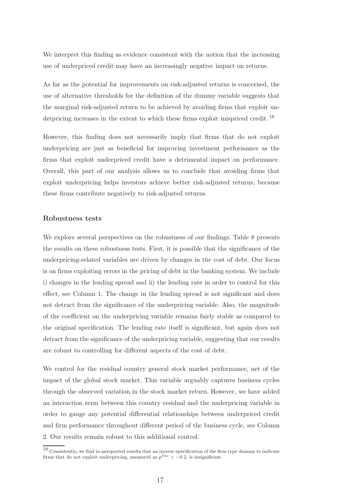We interpret this finding as evidence consistent with the notion that the increasing use of underpriced credit may have an increasingly negative impact on returns.

As far as the potential for improvements on risk-adjusted returns is concerned, the use of alternative thresholds for the definition of the dummy variable suggests that the marginal risk-adjusted return to be achieved by avoiding firms that exploit underpricing increases in the extent to which these firms exploit mispriced credit.<sup>18</sup>

However, this finding does not necessarily imply that firms that do not exploit underpricing are just as beneficial for improving investment performance as the firms that exploit underpriced credit have a detrimental impact on performance. Overall, this part of our analysis allows us to conclude that avoiding firms that exploit underpricing helps investors achieve better risk-adjusted returns, because these firms contribute negatively to risk-adjusted returns.

#### Robustness tests

We explore several perspectives on the robustness of our findings. Table 8 presents the results on these robustness tests. First, it is possible that the significance of the underpricing-related variables are driven by changes in the cost of debt. Our focus is on firms exploiting errors in the pricing of debt in the banking system. We include i) changes in the lending spread and ii) the lending rate in order to control for this effect, see Column 1. The change in the lending spread is not significant and does not detract from the significance of the underpricing variable. Also, the magnitude of the coefficient on the underpricing variable remains fairly stable as compared to the original specification. The lending rate itself is significant, but again does not detract from the significance of the underpricing variable, suggesting that our results are robust to controlling for different aspects of the cost of debt.

We control for the residual country general stock market performance, net of the impact of the global stock market. This variable arguably captures business cycles through the observed variation in the stock market return. However, we have added an interaction term between this country residual and the underpricing variable in order to gauge any potential differential relationships between underpriced credit and firm performance throughout different period of the business cycle, see Column 2. Our results remain robust to this additional control.

 $18$  Consistently, we find in unreported results that an inverse specification of the firm type dummy to indicate firms that do not exploit underpricing, measured as  $\rho^{Inv} < -0.2$ , is insignificant.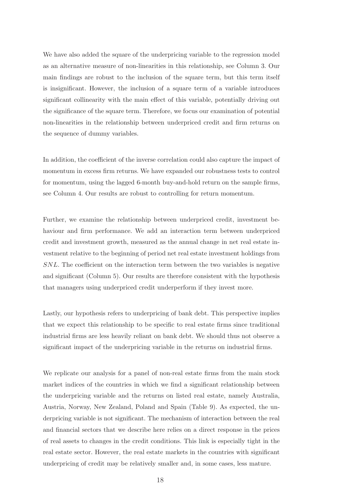We have also added the square of the underpricing variable to the regression model as an alternative measure of non-linearities in this relationship, see Column 3. Our main findings are robust to the inclusion of the square term, but this term itself is insignificant. However, the inclusion of a square term of a variable introduces significant collinearity with the main effect of this variable, potentially driving out the significance of the square term. Therefore, we focus our examination of potential non-linearities in the relationship between underpriced credit and firm returns on the sequence of dummy variables.

In addition, the coefficient of the inverse correlation could also capture the impact of momentum in excess firm returns. We have expanded our robustness tests to control for momentum, using the lagged 6-month buy-and-hold return on the sample firms, see Column 4. Our results are robust to controlling for return momentum.

Further, we examine the relationship between underpriced credit, investment behaviour and firm performance. We add an interaction term between underpriced credit and investment growth, measured as the annual change in net real estate investment relative to the beginning of period net real estate investment holdings from SNL. The coefficient on the interaction term between the two variables is negative and significant (Column 5). Our results are therefore consistent with the hypothesis that managers using underpriced credit underperform if they invest more.

Lastly, our hypothesis refers to underpricing of bank debt. This perspective implies that we expect this relationship to be specific to real estate firms since traditional industrial firms are less heavily reliant on bank debt. We should thus not observe a significant impact of the underpricing variable in the returns on industrial firms.

We replicate our analysis for a panel of non-real estate firms from the main stock market indices of the countries in which we find a significant relationship between the underpricing variable and the returns on listed real estate, namely Australia, Austria, Norway, New Zealand, Poland and Spain (Table 9). As expected, the underpricing variable is not significant. The mechanism of interaction between the real and financial sectors that we describe here relies on a direct response in the prices of real assets to changes in the credit conditions. This link is especially tight in the real estate sector. However, the real estate markets in the countries with significant underpricing of credit may be relatively smaller and, in some cases, less mature.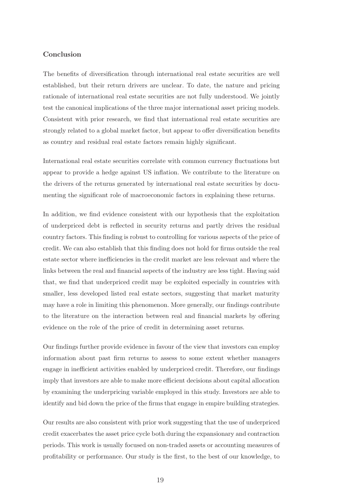#### Conclusion

The benefits of diversification through international real estate securities are well established, but their return drivers are unclear. To date, the nature and pricing rationale of international real estate securities are not fully understood. We jointly test the canonical implications of the three major international asset pricing models. Consistent with prior research, we find that international real estate securities are strongly related to a global market factor, but appear to offer diversification benefits as country and residual real estate factors remain highly significant.

International real estate securities correlate with common currency fluctuations but appear to provide a hedge against US inflation. We contribute to the literature on the drivers of the returns generated by international real estate securities by documenting the significant role of macroeconomic factors in explaining these returns.

In addition, we find evidence consistent with our hypothesis that the exploitation of underpriced debt is reflected in security returns and partly drives the residual country factors. This finding is robust to controlling for various aspects of the price of credit. We can also establish that this finding does not hold for firms outside the real estate sector where inefficiencies in the credit market are less relevant and where the links between the real and financial aspects of the industry are less tight. Having said that, we find that underpriced credit may be exploited especially in countries with smaller, less developed listed real estate sectors, suggesting that market maturity may have a role in limiting this phenomenon. More generally, our findings contribute to the literature on the interaction between real and financial markets by offering evidence on the role of the price of credit in determining asset returns.

Our findings further provide evidence in favour of the view that investors can employ information about past firm returns to assess to some extent whether managers engage in inefficient activities enabled by underpriced credit. Therefore, our findings imply that investors are able to make more efficient decisions about capital allocation by examining the underpricing variable employed in this study. Investors are able to identify and bid down the price of the firms that engage in empire building strategies.

Our results are also consistent with prior work suggesting that the use of underpriced credit exacerbates the asset price cycle both during the expansionary and contraction periods. This work is usually focused on non-traded assets or accounting measures of profitability or performance. Our study is the first, to the best of our knowledge, to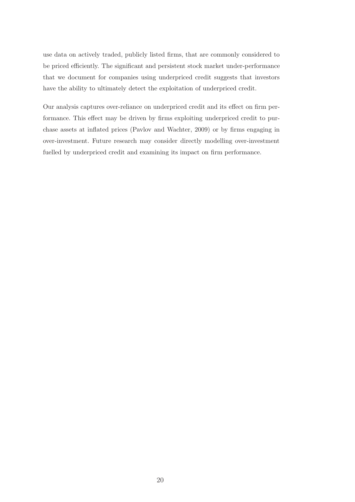use data on actively traded, publicly listed firms, that are commonly considered to be priced efficiently. The significant and persistent stock market under-performance that we document for companies using underpriced credit suggests that investors have the ability to ultimately detect the exploitation of underpriced credit.

Our analysis captures over-reliance on underpriced credit and its effect on firm performance. This effect may be driven by firms exploiting underpriced credit to purchase assets at inflated prices (Pavlov and Wachter, 2009) or by firms engaging in over-investment. Future research may consider directly modelling over-investment fuelled by underpriced credit and examining its impact on firm performance.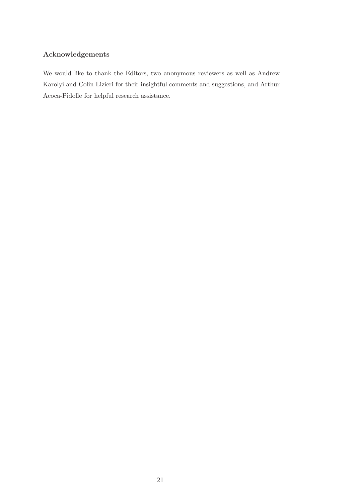# Acknowledgements

We would like to thank the Editors, two anonymous reviewers as well as Andrew Karolyi and Colin Lizieri for their insightful comments and suggestions, and Arthur Acoca-Pidolle for helpful research assistance.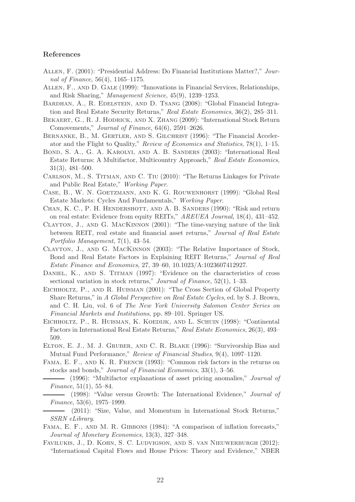## References

- Allen, F. (2001): "Presidential Address: Do Financial Institutions Matter?," *Journal of Finance*, 56(4), 1165–1175.
- ALLEN, F., AND D. GALE (1999): "Innovations in Financial Services, Relationships, and Risk Sharing," *Management Science*, 45(9), 1239–1253.
- BARDHAN, A., R. EDELSTEIN, AND D. TSANG (2008): "Global Financial Integration and Real Estate Security Returns," *Real Estate Economics*, 36(2), 285–311.
- Bekaert, G., R. J. Hodrick, and X. Zhang (2009): "International Stock Return Comovements," *Journal of Finance*, 64(6), 2591–2626.
- BERNANKE, B., M. GERTLER, AND S. GILCHRIST (1996): "The Financial Accelerator and the Flight to Quality," *Review of Economics and Statistics*, 78(1), 1–15.
- Bond, S. A., G. A. Karolyi, and A. B. Sanders (2003): "International Real Estate Returns: A Multifactor, Multicountry Approach," *Real Estate Economics*, 31(3), 481–500.
- Carlson, M., S. Titman, and C. Tiu (2010): "The Returns Linkages for Private and Public Real Estate," *Working Paper*.
- Case, B., W. N. Goetzmann, and K. G. Rouwenhorst (1999): "Global Real Estate Markets: Cycles And Fundamentals," *Working Paper*.
- Chan, K. C., P. H. Hendershott, and A. B. Sanders (1990): "Risk and return on real estate: Evidence from equity REITs," *AREUEA Journal*, 18(4), 431–452.
- Clayton, J., and G. MacKinnon (2001): "The time-varying nature of the link between REIT, real estate and financial asset returns," *Journal of Real Estate Portfolio Management*, 7(1), 43–54.
- Clayton, J., and G. MacKinnon (2003): "The Relative Importance of Stock, Bond and Real Estate Factors in Explaining REIT Returns," *Journal of Real Estate Finance and Economics*, 27, 39–60, 10.1023/A:1023607412927.
- DANIEL, K., AND S. TITMAN (1997): "Evidence on the characteristics of cross sectional variation in stock returns," *Journal of Finance*, 52(1), 1–33.
- Eichholtz, P., and R. Huisman (2001): "The Cross Section of Global Property Share Returns," in *A Global Perspective on Real Estate Cycles*, ed. by S. J. Brown, and C. H. Liu, vol. 6 of *The New York University Salomon Center Series on Financial Markets and Institutions*, pp. 89–101. Springer US.
- Eichholtz, P., R. Huisman, K. Koedijk, and L. Schuin (1998): "Continental Factors in International Real Estate Returns," *Real Estate Economics*, 26(3), 493– 509.
- Elton, E. J., M. J. Gruber, and C. R. Blake (1996): "Survivorship Bias and Mutual Fund Performance," *Review of Financial Studies*, 9(4), 1097–1120.
- Fama, E. F., and K. R. French (1993): "Common risk factors in the returns on stocks and bonds," *Journal of Financial Economics*, 33(1), 3–56.
- (1996): "Multifactor explanations of asset pricing anomalies," *Journal of Finance*, 51(1), 55–84.
- (1998): "Value versus Growth: The International Evidence," *Journal of Finance*, 53(6), 1975–1999.
- (2011): "Size, Value, and Momentum in International Stock Returns," *SSRN eLibrary*.
- FAMA, E. F., AND M. R. GIBBONS (1984): "A comparison of inflation forecasts." *Journal of Monetary Economics*, 13(3), 327–348.
- Favilukis, J., D. Kohn, S. C. Ludvigson, and S. van Nieuwerburgh (2012): "International Capital Flows and House Prices: Theory and Evidence," NBER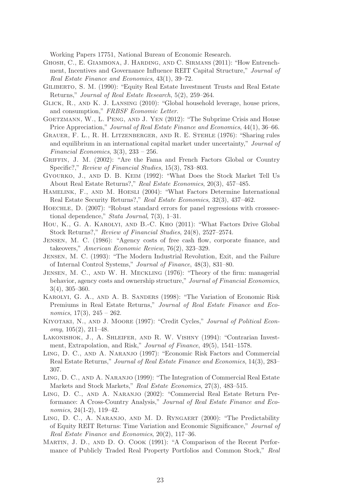Working Papers 17751, National Bureau of Economic Research.

- Ghosh, C., E. Giambona, J. Harding, and C. Sirmans (2011): "How Entrenchment, Incentives and Governance Influence REIT Capital Structure," *Journal of Real Estate Finance and Economics*, 43(1), 39–72.
- Giliberto, S. M. (1990): "Equity Real Estate Investment Trusts and Real Estate Returns," *Journal of Real Estate Research*, 5(2), 259–264.
- Glick, R., and K. J. Lansing (2010): "Global household leverage, house prices, and consumption," *FRBSF Economic Letter*.
- GOETZMANN, W., L. PENG, AND J. YEN (2012): "The Subprime Crisis and House Price Appreciation," *Journal of Real Estate Finance and Economics*, 44(1), 36–66.
- Grauer, F. L., R. H. Litzenberger, and R. E. Stehle (1976): "Sharing rules and equilibrium in an international capital market under uncertainty," *Journal of Financial Economics*, 3(3), 233 – 256.
- Griffin, J. M. (2002): "Are the Fama and French Factors Global or Country Specific?," *Review of Financial Studies*, 15(3), 783–803.
- Gyourko, J., and D. B. Keim (1992): "What Does the Stock Market Tell Us About Real Estate Returns?," *Real Estate Economics*, 20(3), 457–485.
- HAMELINK, F., AND M. HOESLI (2004): "What Factors Determine International Real Estate Security Returns?," *Real Estate Economics*, 32(3), 437–462.
- Hoechle, D. (2007): "Robust standard errors for panel regressions with crosssectional dependence," *Stata Journal*, 7(3), 1–31.
- Hou, K., G. A. Karolyi, and B.-C. Kho (2011): "What Factors Drive Global Stock Returns?," *Review of Financial Studies*, 24(8), 2527–2574.
- Jensen, M. C. (1986): "Agency costs of free cash flow, corporate finance, and takeovers," *American Economic Review*, 76(2), 323–329.
- Jensen, M. C. (1993): "The Modern Industrial Revolution, Exit, and the Failure of Internal Control Systems," *Journal of Finance*, 48(3), 831–80.
- Jensen, M. C., and W. H. Meckling (1976): "Theory of the firm: managerial behavior, agency costs and ownership structure," *Journal of Financial Economics*, 3(4), 305–360.
- Karolyi, G. A., and A. B. Sanders (1998): "The Variation of Economic Risk Premiums in Real Estate Returns," *Journal of Real Estate Finance and Economics*, 17(3), 245 – 262.
- Kiyotaki, N., and J. Moore (1997): "Credit Cycles," *Journal of Political Economy*, 105(2), 211–48.
- Lakonishok, J., A. Shleifer, and R. W. Vishny (1994): "Contrarian Investment, Extrapolation, and Risk," *Journal of Finance*, 49(5), 1541–1578.
- Ling, D. C., and A. Naranjo (1997): "Economic Risk Factors and Commercial Real Estate Returns," *Journal of Real Estate Finance and Economics*, 14(3), 283– 307.
- Ling, D. C., and A. Naranjo (1999): "The Integration of Commercial Real Estate Markets and Stock Markets," *Real Estate Economics*, 27(3), 483–515.
- Ling, D. C., and A. Naranjo (2002): "Commercial Real Estate Return Performance: A Cross-Country Analysis," *Journal of Real Estate Finance and Economics*, 24(1-2), 119–42.
- Ling, D. C., A. Naranjo, and M. D. Ryngaert (2000): "The Predictability of Equity REIT Returns: Time Variation and Economic Significance," *Journal of Real Estate Finance and Economics*, 20(2), 117–36.
- Martin, J. D., and D. O. Cook (1991): "A Comparison of the Recent Performance of Publicly Traded Real Property Portfolios and Common Stock," *Real*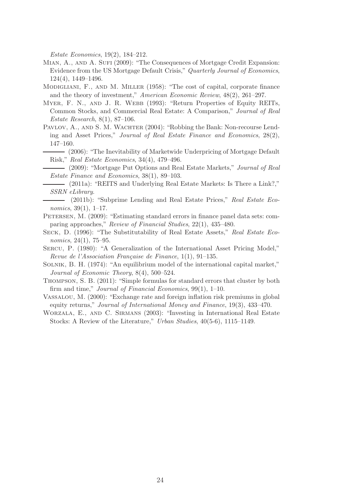*Estate Economics*, 19(2), 184–212.

- MIAN, A., AND A. SUFI (2009): "The Consequences of Mortgage Credit Expansion: Evidence from the US Mortgage Default Crisis," *Quarterly Journal of Economics*, 124(4), 1449–1496.
- Modigliani, F., and M. Miller (1958): "The cost of capital, corporate finance and the theory of investment," *American Economic Review*, 48(2), 261–297.
- Myer, F. N., and J. R. Webb (1993): "Return Properties of Equity REITs, Common Stocks, and Commercial Real Estate: A Comparison," *Journal of Real Estate Research*, 8(1), 87–106.
- PAVLOV, A., AND S. M. WACHTER (2004): "Robbing the Bank: Non-recourse Lending and Asset Prices," *Journal of Real Estate Finance and Economics*, 28(2), 147–160.
	- (2006): "The Inevitability of Marketwide Underpricing of Mortgage Default Risk," *Real Estate Economics*, 34(4), 479–496.
- (2009): "Mortgage Put Options and Real Estate Markets," *Journal of Real Estate Finance and Economics*, 38(1), 89–103.
- (2011a): "REITS and Underlying Real Estate Markets: Is There a Link?," *SSRN eLibrary*.
- (2011b): "Subprime Lending and Real Estate Prices," *Real Estate Economics*, 39(1), 1–17.
- PETERSEN, M. (2009): "Estimating standard errors in finance panel data sets: comparing approaches," *Review of Financial Studies*, 22(1), 435–480.
- Seck, D. (1996): "The Substitutability of Real Estate Assets," *Real Estate Economics*, 24(1), 75–95.
- Sercu, P. (1980): "A Generalization of the International Asset Pricing Model," *Revue de l'Association Française de Finance*, 1(1), 91–135.
- Solnik, B. H. (1974): "An equilibrium model of the international capital market," *Journal of Economic Theory*, 8(4), 500–524.
- Thompson, S. B. (2011): "Simple formulas for standard errors that cluster by both firm and time," *Journal of Financial Economics*, 99(1), 1–10.
- Vassalou, M. (2000): "Exchange rate and foreign inflation risk premiums in global equity returns," *Journal of International Money and Finance*, 19(3), 433–470.
- Worzala, E., and C. Sirmans (2003): "Investing in International Real Estate Stocks: A Review of the Literature," *Urban Studies*, 40(5-6), 1115–1149.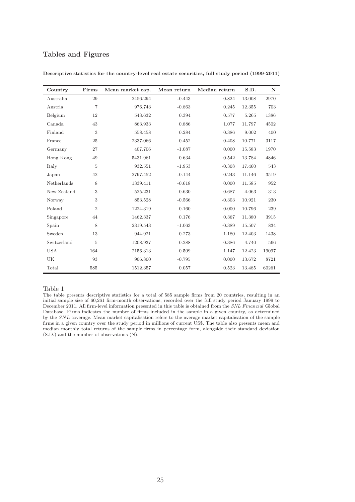# Tables and Figures

| Country     | Firms          | Mean market cap. | Mean return | Median return | S.D.   | $\mathbf N$ |
|-------------|----------------|------------------|-------------|---------------|--------|-------------|
| Australia   | 29             | 2456.294         | $-0.443$    | 0.824         | 13.008 | 2970        |
| Austria     | $\overline{7}$ | 976.743          | $-0.863$    | 0.245         | 12.355 | 703         |
| Belgium     | 12             | 543.632          | 0.394       | 0.577         | 5.265  | 1386        |
| Canada      | 43             | 863.933          | 0.886       | 1.077         | 11.797 | 4502        |
| Finland     | 3              | 558.458          | 0.284       | 0.386         | 9.002  | 400         |
| France      | 25             | 2337.066         | 0.452       | 0.408         | 10.771 | 3117        |
| Germany     | 27             | 407.706          | $-1.087$    | 0.000         | 15.583 | 1970        |
| Hong Kong   | 49             | 5431.961         | 0.634       | 0.542         | 13.784 | 4846        |
| Italy       | 5              | 932.551          | $-1.953$    | $-0.308$      | 17.460 | 543         |
| Japan       | 42             | 2797.452         | $-0.144$    | 0.243         | 11.146 | 3519        |
| Netherlands | 8              | 1339.411         | $-0.618$    | 0.000         | 11.585 | 952         |
| New Zealand | 3              | 525.231          | 0.630       | 0.687         | 4.063  | 313         |
| Norway      | 3              | 853.528          | $-0.566$    | $-0.303$      | 10.921 | 230         |
| Poland      | $\overline{2}$ | 1224.319         | 0.160       | 0.000         | 10.796 | 239         |
| Singapore   | 44             | 1462.337         | 0.176       | 0.367         | 11.380 | 3915        |
| Spain       | 8              | 2319.543         | $-1.063$    | $-0.389$      | 15.507 | 834         |
| Sweden      | 13             | 944.921          | 0.273       | 1.180         | 12.403 | 1438        |
| Switzerland | $\overline{5}$ | 1208.937         | 0.288       | 0.386         | 4.740  | 566         |
| <b>USA</b>  | 164            | 2156.313         | 0.509       | 1.147         | 12.423 | 19097       |
| UK          | 93             | 906.800          | $-0.795$    | 0.000         | 13.672 | 8721        |
| Total       | 585            | 1512.357         | 0.057       | 0.523         | 13.485 | 60261       |

Descriptive statistics for the country-level real estate securities, full study period (1999-2011)

#### Table 1

The table presents descriptive statistics for a total of 585 sample firms from 20 countries, resulting in an initial sample size of 60,261 firm-month observations, recorded over the full study period January 1999 to December 2011. All firm-level information presented in this table is obtained from the SNL Financial Global Database. Firms indicates the number of firms included in the sample in a given country, as determined by the SNL coverage. Mean market capitalisation refers to the average market capitalisation of the sample firms in a given country over the study period in millions of current US\$. The table also presents mean and median monthly total returns of the sample firms in percentage form, alongside their standard deviation (S.D.) and the number of observations (N).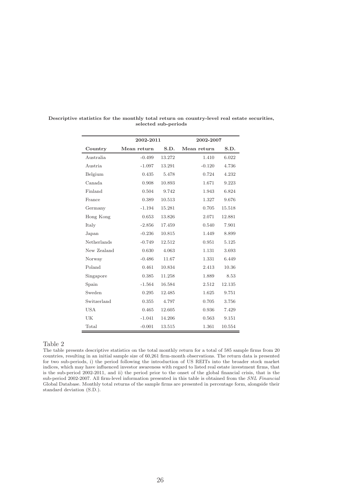|             | 2002-2011   |        | 2002-2007   |        |  |
|-------------|-------------|--------|-------------|--------|--|
| Country     | Mean return | S.D.   | Mean return | S.D.   |  |
| Australia   | $-0.499$    | 13.272 | 1.410       | 6.022  |  |
| Austria     | $-1.097$    | 13.291 | $-0.120$    | 4.736  |  |
| Belgium     | 0.435       | 5.478  | 0.724       | 4.232  |  |
| Canada      | 0.908       | 10.893 | 1.671       | 9.223  |  |
| Finland     | 0.504       | 9.742  | 1.943       | 6.824  |  |
| France      | 0.389       | 10.513 | 1.327       | 9.676  |  |
| Germany     | $-1.194$    | 15.281 | 0.705       | 15.518 |  |
| Hong Kong   | 0.653       | 13.826 | 2.071       | 12.881 |  |
| Italy       | $-2.856$    | 17.459 | 0.540       | 7.901  |  |
| Japan       | $-0.236$    | 10.815 | 1.449       | 8.899  |  |
| Netherlands | $-0.749$    | 12.512 | 0.951       | 5.125  |  |
| New Zealand | 0.630       | 4.063  | 1.131       | 3.693  |  |
| Norway      | $-0.486$    | 11.67  | 1.331       | 6.449  |  |
| Poland      | 0.461       | 10.834 | 2.413       | 10.36  |  |
| Singapore   | 0.385       | 11.258 | 1.889       | 8.53   |  |
| Spain       | $-1.564$    | 16.584 | 2.512       | 12.135 |  |
| Sweden      | 0.295       | 12.485 | 1.625       | 9.751  |  |
| Switzerland | 0.355       | 4.797  | 0.705       | 3.756  |  |
| <b>USA</b>  | 0.465       | 12.605 | 0.936       | 7.429  |  |
| UK          | $-1.041$    | 14.206 | 0.563       | 9.151  |  |
| Total       | $-0.001$    | 13.515 | 1.361       | 10.554 |  |

Descriptive statistics for the monthly total return on country-level real estate securities, selected sub-periods

#### Table 2

The table presents descriptive statistics on the total monthly return for a total of 585 sample firms from 20 countries, resulting in an initial sample size of 60,261 firm-month observations. The return data is presented for two sub-periods, i) the period following the introduction of US REITs into the broader stock market indices, which may have influenced investor awareness with regard to listed real estate investment firms, that is the sub-period 2002-2011, and ii) the period prior to the onset of the global financial crisis, that is the sub-period 2002-2007. All firm-level information presented in this table is obtained from the SNL Financial Global Database. Monthly total returns of the sample firms are presented in percentage form, alongside their standard deviation (S.D.).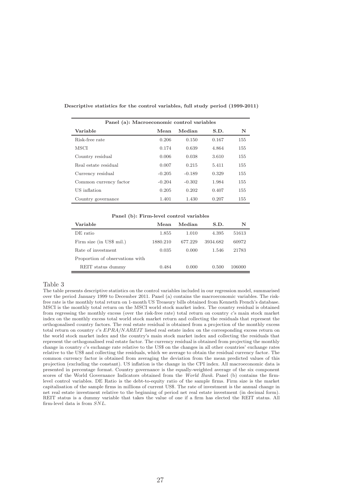|                        | Panel (a): Macroeconomic control variables |          |       |     |  |  |  |
|------------------------|--------------------------------------------|----------|-------|-----|--|--|--|
| Variable               | Mean                                       | Median   | S.D.  | N   |  |  |  |
| Risk-free rate         | 0.206                                      | 0.150    | 0.167 | 155 |  |  |  |
| MSCI                   | 0.174                                      | 0.639    | 4.864 | 155 |  |  |  |
| Country residual       | 0.006                                      | 0.038    | 3.610 | 155 |  |  |  |
| Real estate residual   | 0.007                                      | 0.215    | 5.411 | 155 |  |  |  |
| Currency residual      | $-0.205$                                   | $-0.189$ | 0.329 | 155 |  |  |  |
| Common currency factor | $-0.204$                                   | $-0.302$ | 1.984 | 155 |  |  |  |
| US inflation           | 0.205                                      | 0.202    | 0.407 | 155 |  |  |  |
| Country governance     | 1.401                                      | 1.430    | 0.207 | 155 |  |  |  |

#### Descriptive statistics for the control variables, full study period (1999-2011)

Panel (b): Firm-level control variables

| Variable                        | Mean     | Median  | S.D.     | N      |
|---------------------------------|----------|---------|----------|--------|
| DE ratio                        | 1.855    | 1.010   | 4.395    | 51613  |
| Firm size (in US\$ mil.)        | 1880.210 | 677.229 | 3934.682 | 60972  |
| Rate of investment              | 0.035    | 0.000   | 1.546    | 21783  |
| Proportion of observations with |          |         |          |        |
| REIT status dummy               | 0.484    | 0.000   | 0.500    | 106000 |

#### Table 3

The table presents descriptive statistics on the control variables included in our regression model, summarised over the period January 1999 to December 2011. Panel (a) contains the macroeconomic variables. The riskfree rate is the monthly total return on 1-month US Treasury bills obtained from Kenneth French's database. MSCI is the monthly total return on the MSCI world stock market index. The country residual is obtained from regressing the monthly excess (over the risk-free rate) total return on country c's main stock market index on the monthly excess total world stock market return and collecting the residuals that represent the orthogonalised country factors. The real estate residual is obtained from a projection of the monthly excess total return on country c's EPRA/NAREIT listed real estate index on the corresponding excess return on the world stock market index and the country's main stock market index and collecting the residuals that represent the orthogonalised real estate factor. The currency residual is obtained from projecting the monthly change in country c's exchange rate relative to the US\$ on the changes in all other countries' exchange rates relative to the US\$ and collecting the residuals, which we average to obtain the residual currency factor. The common currency factor is obtained from averaging the deviation from the mean predicted values of this projection (excluding the constant). US inflation is the change in the CPI index. All macroeconomic data is presented in percentage format. Country governance is the equally-weighted average of the six component scores of the World Governance Indicators obtained from the World Bank. Panel (b) contains the firmlevel control variables. DE Ratio is the debt-to-equity ratio of the sample firms. Firm size is the market capitalisation of the sample firms in millions of current US\$. The rate of investment is the annual change in net real estate investment relative to the beginning of period net real estate investment (in decimal form). REIT status is a dummy variable that takes the value of one if a firm has elected the REIT status. All firm-level data is from SNL.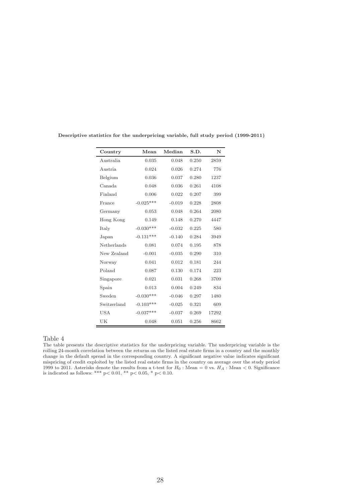| Country     | Mean        | Median   | S.D.  | N     |
|-------------|-------------|----------|-------|-------|
| Australia   | 0.035       | 0.048    | 0.250 | 2859  |
| Austria.    | 0.024       | 0.026    | 0.274 | 776   |
| Belgium     | 0.036       | 0.037    | 0.280 | 1237  |
| Canada      | 0.048       | 0.036    | 0.261 | 4108  |
| Finland     | 0.006       | 0.022    | 0.207 | 399   |
| France      | $-0.025***$ | $-0.019$ | 0.228 | 2808  |
| Germany     | 0.053       | 0.048    | 0.264 | 2080  |
| Hong Kong   | 0.149       | 0.148    | 0.270 | 4447  |
| Italy       | $-0.030***$ | $-0.032$ | 0.225 | 580   |
| Japan       | $-0.131***$ | $-0.140$ | 0.284 | 3949  |
| Netherlands | 0.081       | 0.074    | 0.195 | 878   |
| New Zealand | $-0.001$    | $-0.035$ | 0.290 | 310   |
| Norway      | 0.041       | 0.012    | 0.181 | 244   |
| Poland      | 0.087       | 0.130    | 0.174 | 223   |
| Singapore   | 0.021       | 0.031    | 0.268 | 3709  |
| Spain       | 0.013       | 0.004    | 0.249 | 834   |
| Sweden      | $-0.030***$ | $-0.046$ | 0.297 | 1480  |
| Switzerland | $-0.103***$ | $-0.025$ | 0.321 | 609   |
| <b>USA</b>  | $-0.037***$ | $-0.037$ | 0.269 | 17292 |
| UK          | 0.048       | 0.051    | 0.256 | 8662  |

Descriptive statistics for the underpricing variable, full study period (1999-2011)

#### Table 4

The table presents the descriptive statistics for the underpricing variable. The underpricing variable is the rolling 24-month correlation between the returns on the listed real estate firms in a country and the monthly change in the default spread in the corresponding country. A significant negative value indicates significant mispricing of credit exploited by the listed real estate firms in the country on average over the study period 1999 to 2011. Asterisks denote the results from a t-test for  $H_0$ : Mean = 0 vs.  $H_A$ : Mean < 0. Significance is indicated as follows: \*\*\*  $p < 0.01$ , \*\*  $p < 0.05$ , \*  $p < 0.10$ .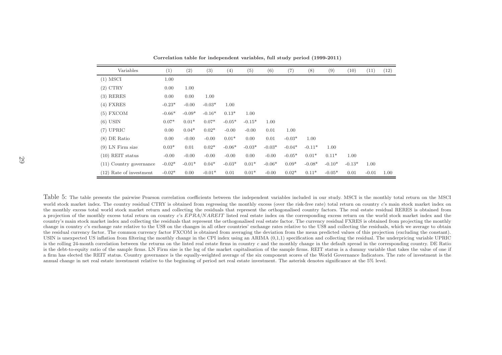| Variables                 | (1)      | $\left( 2\right)$ | (3)      | (4)      | (5)      | (6)      | (7)      | (8)      | (9)      | (10)     | (11)    | (12) |
|---------------------------|----------|-------------------|----------|----------|----------|----------|----------|----------|----------|----------|---------|------|
| $(1)$ MSCI                | 1.00     |                   |          |          |          |          |          |          |          |          |         |      |
| $(2)$ CTRY                | 0.00     | 1.00              |          |          |          |          |          |          |          |          |         |      |
| $(3)$ RERES               | 0.00     | 0.00              | 1.00     |          |          |          |          |          |          |          |         |      |
| $(4)$ FXRES               | $-0.23*$ | $-0.00$           | $-0.03*$ | 1.00     |          |          |          |          |          |          |         |      |
| $(5)$ FXCOM               | $-0.66*$ | $-0.09*$          | $-0.16*$ | $0.13*$  | 1.00     |          |          |          |          |          |         |      |
| $(6)$ USIN                | $0.07*$  | $0.01*$           | $0.07*$  | $-0.05*$ | $-0.15*$ | 1.00     |          |          |          |          |         |      |
| $(7)$ UPRIC               | 0.00     | $0.04*$           | $0.02*$  | $-0.00$  | $-0.00$  | 0.01     | 1.00     |          |          |          |         |      |
| $(8)$ DE Ratio            | 0.00     | $-0.00$           | $-0.00$  | $0.01*$  | 0.00     | 0.01     | $-0.03*$ | 1.00     |          |          |         |      |
| $(9)$ LN Firm size        | $0.03*$  | 0.01              | $0.02*$  | $-0.06*$ | $-0.03*$ | $-0.03*$ | $-0.04*$ | $-0.11*$ | 1.00     |          |         |      |
| $(10)$ REIT status        | $-0.00$  | $-0.00$           | $-0.00$  | $-0.00$  | 0.00     | $-0.00$  | $-0.05*$ | $0.01*$  | $0.11*$  | 1.00     |         |      |
| $(11)$ Country governance | $-0.02*$ | $-0.01*$          | $0.04*$  | $-0.03*$ | $0.01*$  | $-0.06*$ | $0.09*$  | $-0.08*$ | $-0.10*$ | $-0.13*$ | 1.00    |      |
| $(12)$ Rate of investment | $-0.02*$ | 0.00              | $-0.01*$ | 0.01     | $0.01*$  | $-0.00$  | $0.02*$  | $0.11*$  | $-0.05*$ | 0.01     | $-0.01$ | 1.00 |

Correlation table for independent variables, full study period (1999-2011)

Table 5: The table presents the pairwise Pearson correlation coefficients between the independent variables included in our study. MSCI is the monthly total return on the MSCI world stock market index. The country residual CTRY is obtained from regressing the monthly excess (over the risk-free rate) total return on country <sup>c</sup>'s main stock market index on the monthly excess total world stock market return and collecting the residuals that represent the orthogonalised country factors. The real estate residual RERES is obtained froma projection of the monthly excess total return on country c's EPRA/NAREIT listed real estate index on the corresponding excess return on the world stock market index and the country's main stock market index and collecting the residuals that represent the orthogonalised real estate factor. The currency residual FXRES is obtained from projecting the monthlychange in country c's exchange rate relative to the US\$ on the changes in all other countries' exchange rates relative to the US\$ and collecting the residuals, which we average to obtain the residual currency factor. The common currency factor FXCOM is obtained from averaging the deviation from the mean predicted values of this projection (excluding the constant). USIN is unexpected US inflation from filtering the monthly change in the CPI index using an ARIMA (0,1,1) specification and collecting the residual. The underpricing variable UPRICis the rolling 24-month correlation between the returns on the listed real estate firms in country  $c$  and the monthly change in the default spread in the corresponding country. DE Ratio is the debt-to-equity ratio of the sample firms. LN Firm size is the log of the market capitalisation of the sample firms. REIT status is <sup>a</sup> dummy variable that takes the value of one if <sup>a</sup> firm has elected the REIT status. Country governance is the equally-weighted average of the six component scores of the World Governance Indicators. The rate of investment is theannual change in net real estate investment relative to the beginning of period net real estate investment. The asterisk denotes significance at the 5% level.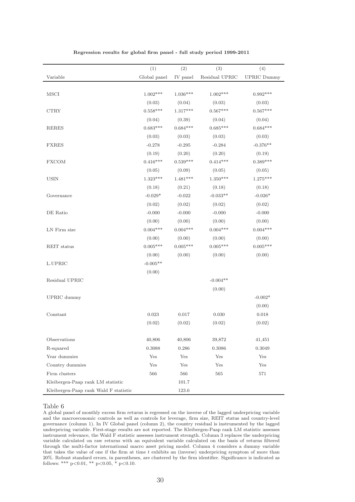|                                       | (1)          | (2)        | (3)            | (4)                |
|---------------------------------------|--------------|------------|----------------|--------------------|
| Variable                              | Global panel | IV panel   | Residual UPRIC | <b>UPRIC Dummy</b> |
|                                       |              |            |                |                    |
| <b>MSCI</b>                           | $1.002***$   | $1.036***$ | $1.002***$     | $0.992***$         |
|                                       | (0.03)       | (0.04)     | (0.03)         | (0.03)             |
| $\rm CTRY$                            | $0.558***$   | $1.317***$ | $0.567***$     | $0.567***$         |
|                                       | (0.04)       | (0.39)     | (0.04)         | (0.04)             |
| <b>RERES</b>                          | $0.683***$   | $0.684***$ | $0.685***$     | $0.684***$         |
|                                       | (0.03)       | (0.03)     | (0.03)         | (0.03)             |
| <b>FXRES</b>                          | $-0.278$     | $-0.295$   | $-0.284$       | $-0.376**$         |
|                                       | (0.19)       | (0.20)     | (0.20)         | (0.19)             |
| <b>FXCOM</b>                          | $0.416***$   | $0.539***$ | $0.414***$     | $0.389***$         |
|                                       | (0.05)       | (0.09)     | (0.05)         | (0.05)             |
| <b>USIN</b>                           | $1.323***$   | $1.481***$ | $1.350***$     | $1.275***$         |
|                                       | (0.18)       | (0.21)     | (0.18)         | (0.18)             |
| Governance                            | $-0.029*$    | $-0.022$   | $-0.033**$     | $-0.026*$          |
|                                       | (0.02)       | (0.02)     | (0.02)         | (0.02)             |
| DE Ratio                              | $-0.000$     | $-0.000$   | $-0.000$       | $-0.000$           |
|                                       | (0.00)       | (0.00)     | (0.00)         | (0.00)             |
| LN Firm size                          | $0.004***$   | $0.004***$ | $0.004***$     | $0.004***$         |
|                                       | (0.00)       | (0.00)     | (0.00)         | (0.00)             |
| REIT status                           | $0.005***$   | $0.005***$ | $0.005***$     | $0.005***$         |
|                                       | (0.00)       | (0.00)     | (0.00)         | (0.00)             |
| L.UPRIC                               | $-0.005**$   |            |                |                    |
|                                       | (0.00)       |            |                |                    |
| Residual UPRIC                        |              |            | $-0.004**$     |                    |
|                                       |              |            | (0.00)         |                    |
| UPRIC dummy                           |              |            |                | $-0.002*$          |
|                                       |              |            |                | (0.00)             |
| Constant                              | 0.023        | 0.017      | 0.030          | 0.018              |
|                                       | (0.02)       | (0.02)     | (0.02)         | (0.02)             |
|                                       |              |            |                |                    |
| Observations                          | 40,806       | 40,806     | 39,872         | 41,451             |
| R-squared                             | 0.3088       | 0.286      | 0.3086         | 0.3049             |
| Year dummies                          | Yes          | Yes        | Yes            | Yes                |
| Country dummies                       | Yes          | Yes        | Yes            | Yes                |
| Firm clusters                         | 566          | 566        | 565            | 571                |
| Kleibergen-Paap rank LM statistic     |              | 101.7      |                |                    |
| Kleibergen-Paap rank Wald F statistic |              | 123.6      |                |                    |

#### Regression results for global firm panel - full study period 1999-2011

#### Table 6

A global panel of monthly excess firm returns is regressed on the inverse of the lagged underpricing variable and the macroeconomic controls as well as controls for leverage, firm size, REIT status and country-level governance (column 1). In IV Global panel (column 2), the country residual is instrumented by the lagged underpricing variable. First-stage results are not reported. The Kleibergen-Paap rank LM statistic assesses instrument relevance, the Wald F statistic assesses instrument strength. Column 3 replaces the underpricing variable calculated on raw returns with an equivalent variable calculated on the basis of returns filtered through the multi-factor international macro asset pricing model. Column 4 considers a dummy variable that takes the value of one if the firm at time  $t$  exhibits an (inverse) underpricing symptom of more than 20%. Robust standard errors, in parentheses, are clustered by the firm identifier. Significance is indicated as follows: \*\*\*  $p<0.01$ , \*\*  $p<0.05$ , \*  $p<0.10$ .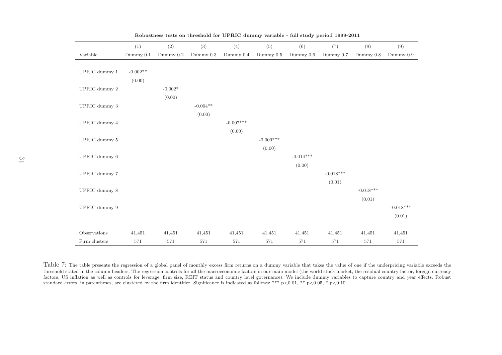|                                         | (1)        | (2)       | (3)        | (4)         | (5)         | (6)         | (7)         | (8)         | (9)         |
|-----------------------------------------|------------|-----------|------------|-------------|-------------|-------------|-------------|-------------|-------------|
| Variable                                | Dummy 0.1  | Dummy 0.2 | Dummy 0.3  | Dummy 0.4   | Dummy 0.5   | Dummy 0.6   | Dummy 0.7   | Dummy 0.8   | Dummy 0.9   |
|                                         |            |           |            |             |             |             |             |             |             |
| UPRIC dummy 1                           | $-0.002**$ |           |            |             |             |             |             |             |             |
|                                         | (0.00)     |           |            |             |             |             |             |             |             |
| UPRIC dummy 2                           |            | $-0.002*$ |            |             |             |             |             |             |             |
|                                         |            | (0.00)    |            |             |             |             |             |             |             |
| UPRIC dummy 3                           |            |           | $-0.004**$ |             |             |             |             |             |             |
|                                         |            |           | (0.00)     |             |             |             |             |             |             |
| UPRIC dummy $4$                         |            |           |            | $-0.007***$ |             |             |             |             |             |
|                                         |            |           |            | (0.00)      |             |             |             |             |             |
| $\ensuremath{\mathrm{UPRIC}}$ dummy $5$ |            |           |            |             | $-0.009***$ |             |             |             |             |
|                                         |            |           |            |             | (0.00)      |             |             |             |             |
| UPRIC dummy 6                           |            |           |            |             |             | $-0.014***$ |             |             |             |
|                                         |            |           |            |             |             | (0.00)      |             |             |             |
| UPRIC dummy 7                           |            |           |            |             |             |             | $-0.018***$ |             |             |
|                                         |            |           |            |             |             |             | (0.01)      |             |             |
| UPRIC dummy 8                           |            |           |            |             |             |             |             | $-0.018***$ |             |
|                                         |            |           |            |             |             |             |             | (0.01)      |             |
| UPRIC dummy 9                           |            |           |            |             |             |             |             |             | $-0.018***$ |
|                                         |            |           |            |             |             |             |             |             | (0.01)      |
| Observations                            | 41,451     | 41,451    | 41,451     | 41,451      | 41,451      | 41,451      | 41,451      | 41,451      | 41,451      |
| Firm clusters                           | 571        | 571       | 571        | 571         | 571         | 571         | $571\,$     | 571         | 571         |

Robustness tests on threshold for UPRIC dummy variable - full study period 1999-2011

Table 7: The table presents the regression of a global panel of monthly excess firm returns on a dummy variable that takes the value of one if the underpricing variable exceeds the threshold stated in the column headers. The regression controls for all the macroeconomic factors in our main model (the world stock market, the residual country factor, foreign currency factors, US inflation as well as controls for leverage, firm size, REIT status and country level governance). We include dummy variables to capture country and year effects. Robuststandard errors, in parentheses, are clustered by the firm identifier. Significance is indicated as follows: \*\*\* p<0.01, \*\* p<0.05, \* p<0.10.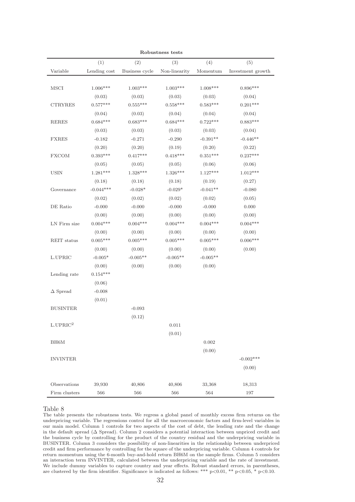|                            | (1)          | (2)            | (3)           | (4)        | (5)               |
|----------------------------|--------------|----------------|---------------|------------|-------------------|
| Variable                   | Lending cost | Business cycle | Non-linearity | Momentum   | Investment growth |
|                            |              |                |               |            |                   |
| <b>MSCI</b>                | $1.006***$   | $1.003***$     | $1.003***$    | $1.008***$ | $0.896***$        |
|                            | (0.03)       | (0.03)         | (0.03)        | (0.03)     | (0.04)            |
| <b>CTRYRES</b>             | $0.577***$   | $0.555***$     | $0.558***$    | $0.583***$ | $0.201***$        |
|                            | (0.04)       | (0.03)         | (0.04)        | (0.04)     | (0.04)            |
| <b>RERES</b>               | $0.684***$   | $0.683***$     | $0.684***$    | $0.722***$ | $0.883***$        |
|                            | (0.03)       | (0.03)         | (0.03)        | (0.03)     | (0.04)            |
| <b>FXRES</b>               | $-0.182$     | $-0.271$       | $-0.290$      | $-0.391**$ | $-0.446**$        |
|                            | (0.20)       | (0.20)         | (0.19)        | (0.20)     | (0.22)            |
| <b>FXCOM</b>               | $0.393***$   | $0.417***$     | $0.418***$    | $0.351***$ | $0.237***$        |
|                            | (0.05)       | (0.05)         | (0.05)        | (0.06)     | (0.06)            |
| <b>USIN</b>                | $1.281***$   | $1.328***$     | $1.326***$    | $1.127***$ | $1.012***$        |
|                            | (0.18)       | (0.18)         | (0.18)        | (0.19)     | (0.27)            |
| Governance                 | $-0.044***$  | $-0.028*$      | $-0.029*$     | $-0.041**$ | $-0.080$          |
|                            | (0.02)       | (0.02)         | (0.02)        | (0.02)     | (0.05)            |
| DE Ratio                   | $-0.000$     | $-0.000$       | $-0.000$      | $-0.000$   | 0.000             |
|                            | (0.00)       | (0.00)         | (0.00)        | (0.00)     | (0.00)            |
| LN Firm size               | $0.004***$   | $0.004***$     | $0.004***$    | $0.004***$ | $0.004***$        |
|                            | (0.00)       | (0.00)         | (0.00)        | (0.00)     | (0.00)            |
| REIT status                | $0.005***$   | $0.005***$     | $0.005***$    | $0.005***$ | $0.006***$        |
|                            | (0.00)       | (0.00)         | (0.00)        | (0.00)     | (0.00)            |
| L.UPRIC                    | $-0.005*$    | $-0.005**$     | $-0.005**$    | $-0.005**$ |                   |
|                            | (0.00)       | (0.00)         | (0.00)        | (0.00)     |                   |
| Lending rate               | $0.154***$   |                |               |            |                   |
|                            | (0.06)       |                |               |            |                   |
| $\Delta$ Spread            | $-0.008$     |                |               |            |                   |
|                            | (0.01)       |                |               |            |                   |
| <b>BUSINTER</b>            |              | $-0.093$       |               |            |                   |
|                            |              | (0.12)         |               |            |                   |
| $\operatorname{L.UPRIC^2}$ |              |                | 0.011         |            |                   |
|                            |              |                | (0.01)        |            |                   |
| BH <sub>6</sub> M          |              |                |               | $0.002\,$  |                   |
|                            |              |                |               | (0.00)     |                   |
| <b>INVINTER</b>            |              |                |               |            | $-0.002***$       |
|                            |              |                |               |            | (0.00)            |
|                            |              |                |               |            |                   |
| Observations               | 39,930       | 40,806         | 40,806        | 33,368     | 18,313            |
| Firm clusters              | 566          | 566            | $566\,$       | $564\,$    | $197\,$           |

Robustness tests

#### Table 8

The table presents the robustness tests. We regress a global panel of monthly excess firm returns on the underpricing variable. The regressions control for all the macroeconomic factors and firm-level variables in our main model. Column 1 controls for two aspects of the cost of debt, the lending rate and the change in the default spread (∆ Spread). Column 2 considers a potential interaction between unpriced credit and the business cycle by controlling for the product of the country residual and the underpricing variable in BUSINTER. Column 3 considers the possibility of non-linearities in the relationship between underpriced credit and firm performance by controlling for the square of the underpricing variable. Column 4 controls for return momentum using the 6-month buy-and-hold return BH6M on the sample firms. Column 5 considers an interaction term INVINTER, calculated between the underpricing variable and the rate of investment. We include dummy variables to capture country and year effects. Robust standard errors, in parentheses, are clustered by the firm identifier. Significance is indicated as follows: \*\*\*  $p<0.01$ , \*\*  $p<0.05$ , \*  $p<0.10$ .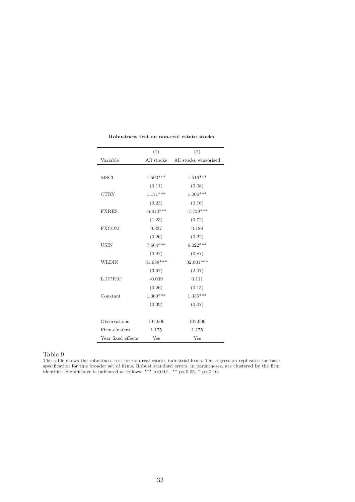|                    | (1)         | (2)                   |
|--------------------|-------------|-----------------------|
| Variable           | All stocks  | All stocks winsorised |
|                    |             |                       |
| <b>MSCI</b>        | $1.593***$  | $1.516***$            |
|                    | (0.11)      | (0.08)                |
| <b>CTRY</b>        | $1.171***$  | $1.006***$            |
|                    | (0.23)      | (0.16)                |
| <b>FXRES</b>       | $-6.813***$ | $-7.729***$           |
|                    | (1.23)      | (0.72)                |
| <b>FXCOM</b>       | 0.337       | 0.188                 |
|                    | (0.26)      | (0.22)                |
| <b>USIN</b>        | $7.664***$  | $6.022***$            |
|                    | (0.97)      | (0.87)                |
| <b>WLDIN</b>       | 31.688***   | 32.001***             |
|                    | (3.67)      | (2.07)                |
| L.UPRIC            | $-0.039$    | 0.111                 |
|                    | (0.26)      | (0.15)                |
| Constant           | $1.360***$  | $1.335***$            |
|                    | (0.09)      | (0.07)                |
|                    |             |                       |
| Observations       | 107,906     | 107,906               |
| Firm clusters      | 1,175       | 1,175                 |
| Year fixed effects | Yes         | Yes                   |

Robustness test on non-real estate stocks

#### Table 9

The table shows the robustness test for non-real estate, industrial firms. The regression replicates the base specification for this broader set of firms. Robust standard errors, in parentheses, are clustered by the firm identifier. Significance is indicated as follows: \*\*\* p<0.01, \*\* p<0.05, \* p<0.10.